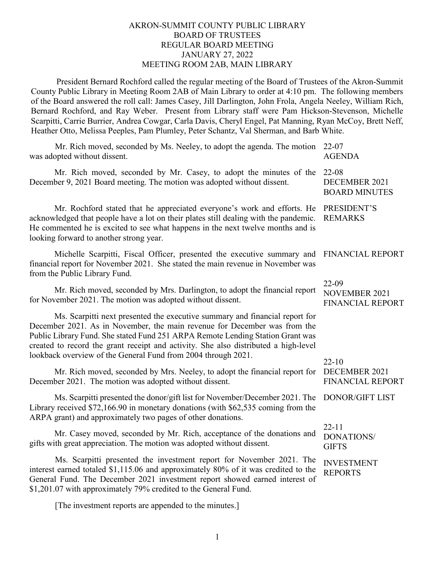## AKRON-SUMMIT COUNTY PUBLIC LIBRARY BOARD OF TRUSTEES REGULAR BOARD MEETING JANUARY 27, 2022 MEETING ROOM 2AB, MAIN LIBRARY

President Bernard Rochford called the regular meeting of the Board of Trustees of the Akron-Summit County Public Library in Meeting Room 2AB of Main Library to order at 4:10 pm. The following members of the Board answered the roll call: James Casey, Jill Darlington, John Frola, Angela Neeley, William Rich, Bernard Rochford, and Ray Weber. Present from Library staff were Pam Hickson-Stevenson, Michelle Scarpitti, Carrie Burrier, Andrea Cowgar, Carla Davis, Cheryl Engel, Pat Manning, Ryan McCoy, Brett Neff, Heather Otto, Melissa Peeples, Pam Plumley, Peter Schantz, Val Sherman, and Barb White.

| Mr. Rich moved, seconded by Ms. Neeley, to adopt the agenda. The motion<br>was adopted without dissent.                                                                                                                                                                                                                                                                                            | $22 - 07$<br><b>AGENDA</b>                               |
|----------------------------------------------------------------------------------------------------------------------------------------------------------------------------------------------------------------------------------------------------------------------------------------------------------------------------------------------------------------------------------------------------|----------------------------------------------------------|
| Mr. Rich moved, seconded by Mr. Casey, to adopt the minutes of the<br>December 9, 2021 Board meeting. The motion was adopted without dissent.                                                                                                                                                                                                                                                      | $22 - 08$<br>DECEMBER 2021<br><b>BOARD MINUTES</b>       |
| Mr. Rochford stated that he appreciated everyone's work and efforts. He<br>acknowledged that people have a lot on their plates still dealing with the pandemic.<br>He commented he is excited to see what happens in the next twelve months and is<br>looking forward to another strong year.                                                                                                      | PRESIDENT'S<br><b>REMARKS</b>                            |
| Michelle Scarpitti, Fiscal Officer, presented the executive summary and<br>financial report for November 2021. She stated the main revenue in November was<br>from the Public Library Fund.                                                                                                                                                                                                        | <b>FINANCIAL REPORT</b>                                  |
| Mr. Rich moved, seconded by Mrs. Darlington, to adopt the financial report<br>for November 2021. The motion was adopted without dissent.                                                                                                                                                                                                                                                           | 22-09<br><b>NOVEMBER 2021</b><br><b>FINANCIAL REPORT</b> |
| Ms. Scarpitti next presented the executive summary and financial report for<br>December 2021. As in November, the main revenue for December was from the<br>Public Library Fund. She stated Fund 251 ARPA Remote Lending Station Grant was<br>created to record the grant receipt and activity. She also distributed a high-level<br>lookback overview of the General Fund from 2004 through 2021. | $22 - 10$                                                |
| Mr. Rich moved, seconded by Mrs. Neeley, to adopt the financial report for<br>December 2021. The motion was adopted without dissent.                                                                                                                                                                                                                                                               | DECEMBER 2021<br><b>FINANCIAL REPORT</b>                 |
| Ms. Scarpitti presented the donor/gift list for November/December 2021. The<br>Library received \$72,166.90 in monetary donations (with \$62,535 coming from the<br>ARPA grant) and approximately two pages of other donations.                                                                                                                                                                    | <b>DONOR/GIFT LIST</b>                                   |
| Mr. Casey moved, seconded by Mr. Rich, acceptance of the donations and<br>gifts with great appreciation. The motion was adopted without dissent.                                                                                                                                                                                                                                                   | $22 - 11$<br><b>DONATIONS/</b><br><b>GIFTS</b>           |
| Ms. Scarpitti presented the investment report for November 2021. The<br>interest earned totaled \$1,115.06 and approximately 80% of it was credited to the<br>General Fund. The December 2021 investment report showed earned interest of<br>\$1,201.07 with approximately 79% credited to the General Fund.                                                                                       | <b>INVESTMENT</b><br><b>REPORTS</b>                      |

[The investment reports are appended to the minutes.]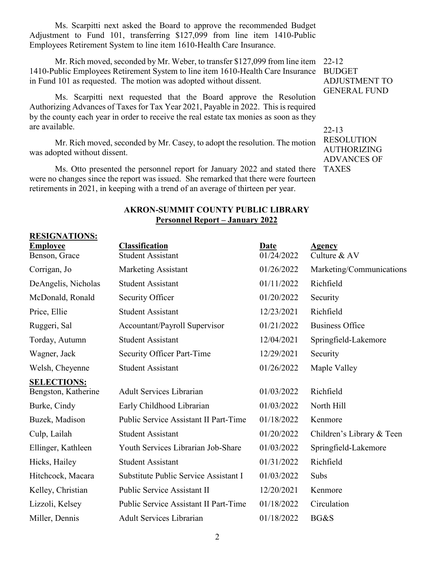Ms. Scarpitti next asked the Board to approve the recommended Budget Adjustment to Fund 101, transferring \$127,099 from line item 1410-Public Employees Retirement System to line item 1610-Health Care Insurance.

Mr. Rich moved, seconded by Mr. Weber, to transfer \$127,099 from line item 22-12 1410-Public Employees Retirement System to line item 1610-Health Care Insurance BUDGET in Fund 101 as requested. The motion was adopted without dissent.

Ms. Scarpitti next requested that the Board approve the Resolution Authorizing Advances of Taxes for Tax Year 2021, Payable in 2022. This is required by the county each year in order to receive the real estate tax monies as soon as they are available.

Mr. Rich moved, seconded by Mr. Casey, to adopt the resolution. The motion was adopted without dissent.

Ms. Otto presented the personnel report for January 2022 and stated there were no changes since the report was issued. She remarked that there were fourteen retirements in 2021, in keeping with a trend of an average of thirteen per year.

ADJUSTMENT TO GENERAL FUND

22-13 RESOLUTION AUTHORIZING ADVANCES OF TAXES

## **AKRON-SUMMIT COUNTY PUBLIC LIBRARY Personnel Report – January 2022**

| <b>RESIGNATIONS:</b> |                                       |            |                           |  |
|----------------------|---------------------------------------|------------|---------------------------|--|
| <b>Employee</b>      | <b>Classification</b>                 | Date       | <b>Agency</b>             |  |
| Benson, Grace        | <b>Student Assistant</b>              | 01/24/2022 | Culture & AV              |  |
| Corrigan, Jo         | Marketing Assistant                   | 01/26/2022 | Marketing/Communications  |  |
| DeAngelis, Nicholas  | <b>Student Assistant</b>              | 01/11/2022 | Richfield                 |  |
| McDonald, Ronald     | Security Officer                      | 01/20/2022 | Security                  |  |
| Price, Ellie         | <b>Student Assistant</b>              | 12/23/2021 | Richfield                 |  |
| Ruggeri, Sal         | Accountant/Payroll Supervisor         | 01/21/2022 | <b>Business Office</b>    |  |
| Torday, Autumn       | <b>Student Assistant</b>              | 12/04/2021 | Springfield-Lakemore      |  |
| Wagner, Jack         | <b>Security Officer Part-Time</b>     | 12/29/2021 | Security                  |  |
| Welsh, Cheyenne      | <b>Student Assistant</b>              | 01/26/2022 | Maple Valley              |  |
| <b>SELECTIONS:</b>   |                                       |            |                           |  |
| Bengston, Katherine  | <b>Adult Services Librarian</b>       | 01/03/2022 | Richfield                 |  |
| Burke, Cindy         | Early Childhood Librarian             | 01/03/2022 | North Hill                |  |
| Buzek, Madison       | Public Service Assistant II Part-Time | 01/18/2022 | Kenmore                   |  |
| Culp, Lailah         | <b>Student Assistant</b>              | 01/20/2022 | Children's Library & Teen |  |
| Ellinger, Kathleen   | Youth Services Librarian Job-Share    | 01/03/2022 | Springfield-Lakemore      |  |
| Hicks, Hailey        | <b>Student Assistant</b>              | 01/31/2022 | Richfield                 |  |
| Hitchcock, Macara    | Substitute Public Service Assistant I | 01/03/2022 | Subs                      |  |
| Kelley, Christian    | Public Service Assistant II           | 12/20/2021 | Kenmore                   |  |
| Lizzoli, Kelsey      | Public Service Assistant II Part-Time | 01/18/2022 | Circulation               |  |
| Miller, Dennis       | <b>Adult Services Librarian</b>       | 01/18/2022 | BG&S                      |  |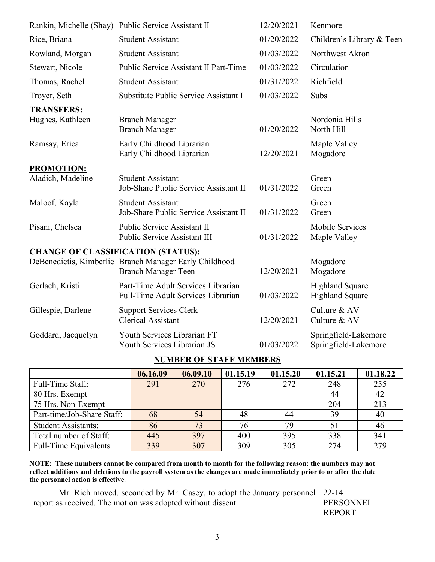|                                           | 12/20/2021<br>Rankin, Michelle (Shay) Public Service Assistant II<br>Kenmore                       |                                                                |                                 |  |
|-------------------------------------------|----------------------------------------------------------------------------------------------------|----------------------------------------------------------------|---------------------------------|--|
| Rice, Briana                              | 01/20/2022<br><b>Student Assistant</b>                                                             |                                                                | Children's Library & Teen       |  |
| Rowland, Morgan                           | <b>Student Assistant</b>                                                                           | 01/03/2022                                                     | Northwest Akron                 |  |
| Stewart, Nicole                           | 01/03/2022<br>Public Service Assistant II Part-Time                                                |                                                                | Circulation                     |  |
| Thomas, Rachel                            | <b>Student Assistant</b>                                                                           | 01/31/2022                                                     | Richfield                       |  |
| Troyer, Seth                              | Substitute Public Service Assistant I<br>01/03/2022<br>Subs                                        |                                                                |                                 |  |
| <b>TRANSFERS:</b><br>Hughes, Kathleen     | <b>Branch Manager</b><br><b>Branch Manager</b>                                                     | 01/20/2022                                                     | Nordonia Hills<br>North Hill    |  |
| Ramsay, Erica                             | Early Childhood Librarian<br>Early Childhood Librarian                                             | Maple Valley<br>Mogadore                                       |                                 |  |
| <b>PROMOTION:</b>                         |                                                                                                    |                                                                |                                 |  |
| Aladich, Madeline                         | <b>Student Assistant</b><br>Job-Share Public Service Assistant II                                  | 01/31/2022                                                     | Green<br>Green                  |  |
| Maloof, Kayla                             | <b>Student Assistant</b><br>Green<br>Job-Share Public Service Assistant II<br>01/31/2022<br>Green  |                                                                |                                 |  |
| Pisani, Chelsea                           | <b>Public Service Assistant II</b><br>Public Service Assistant III<br>01/31/2022                   |                                                                | Mobile Services<br>Maple Valley |  |
| <b>CHANGE OF CLASSIFICATION (STATUS):</b> |                                                                                                    |                                                                |                                 |  |
|                                           | DeBenedictis, Kimberlie Branch Manager Early Childhood<br><b>Branch Manager Teen</b><br>12/20/2021 |                                                                | Mogadore<br>Mogadore            |  |
| Gerlach, Kristi                           | Part-Time Adult Services Librarian<br>Full-Time Adult Services Librarian                           | <b>Highland Square</b><br>01/03/2022<br><b>Highland Square</b> |                                 |  |
| Gillespie, Darlene                        | <b>Support Services Clerk</b><br><b>Clerical Assistant</b>                                         | Culture & AV<br>12/20/2021<br>Culture & AV                     |                                 |  |
| Goddard, Jacquelyn                        | Youth Services Librarian FT<br>Youth Services Librarian JS                                         | Springfield-Lakemore<br>01/03/2022<br>Springfield-Lakemore     |                                 |  |

## **NUMBER OF STAFF MEMBERS**

|                              | 06.16.09 | 06.09.10 | 01.15.19 | 01.15.20 | 01.15.21 | 01.18.22 |
|------------------------------|----------|----------|----------|----------|----------|----------|
| Full-Time Staff:             | 291      | 270      | 276      | 272      | 248      | 255      |
| 80 Hrs. Exempt               |          |          |          |          | 44       | 42       |
| 75 Hrs. Non-Exempt           |          |          |          |          | 204      | 213      |
| Part-time/Job-Share Staff:   | 68       | 54       | 48       | 44       | 39       | 40       |
| <b>Student Assistants:</b>   | 86       | 73       | 76       | 79       | 51       | 46       |
| Total number of Staff:       | 445      | 397      | 400      | 395      | 338      | 341      |
| <b>Full-Time Equivalents</b> | 339      | 307      | 309      | 305      | 274      | 279      |

**NOTE: These numbers cannot be compared from month to month for the following reason: the numbers may not reflect additions and deletions to the payroll system as the changes are made immediately prior to or after the date the personnel action is effective**.

Mr. Rich moved, seconded by Mr. Casey, to adopt the January personnel 22-14 report as received. The motion was adopted without dissent.

PERSONNEL REPORT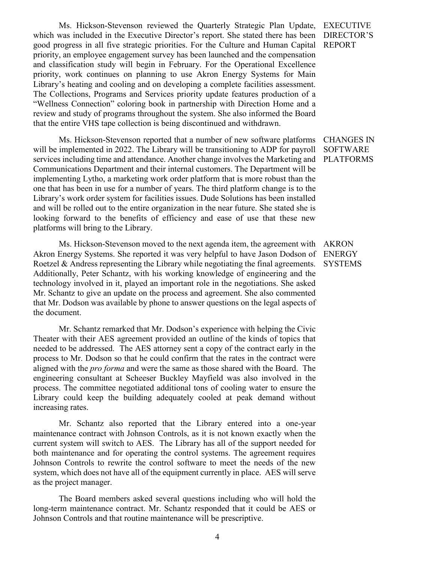Ms. Hickson-Stevenson reviewed the Quarterly Strategic Plan Update, which was included in the Executive Director's report. She stated there has been good progress in all five strategic priorities. For the Culture and Human Capital priority, an employee engagement survey has been launched and the compensation and classification study will begin in February. For the Operational Excellence priority, work continues on planning to use Akron Energy Systems for Main Library's heating and cooling and on developing a complete facilities assessment. The Collections, Programs and Services priority update features production of a "Wellness Connection" coloring book in partnership with Direction Home and a review and study of programs throughout the system. She also informed the Board that the entire VHS tape collection is being discontinued and withdrawn.

Ms. Hickson-Stevenson reported that a number of new software platforms will be implemented in 2022. The Library will be transitioning to ADP for payroll services including time and attendance. Another change involves the Marketing and Communications Department and their internal customers. The Department will be implementing Lytho, a marketing work order platform that is more robust than the one that has been in use for a number of years. The third platform change is to the Library's work order system for facilities issues. Dude Solutions has been installed and will be rolled out to the entire organization in the near future. She stated she is looking forward to the benefits of efficiency and ease of use that these new platforms will bring to the Library.

Ms. Hickson-Stevenson moved to the next agenda item, the agreement with Akron Energy Systems. She reported it was very helpful to have Jason Dodson of ENERGY Roetzel & Andress representing the Library while negotiating the final agreements. Additionally, Peter Schantz, with his working knowledge of engineering and the technology involved in it, played an important role in the negotiations. She asked Mr. Schantz to give an update on the process and agreement. She also commented that Mr. Dodson was available by phone to answer questions on the legal aspects of the document.

Mr. Schantz remarked that Mr. Dodson's experience with helping the Civic Theater with their AES agreement provided an outline of the kinds of topics that needed to be addressed. The AES attorney sent a copy of the contract early in the process to Mr. Dodson so that he could confirm that the rates in the contract were aligned with the *pro forma* and were the same as those shared with the Board. The engineering consultant at Scheeser Buckley Mayfield was also involved in the process. The committee negotiated additional tons of cooling water to ensure the Library could keep the building adequately cooled at peak demand without increasing rates.

Mr. Schantz also reported that the Library entered into a one-year maintenance contract with Johnson Controls, as it is not known exactly when the current system will switch to AES. The Library has all of the support needed for both maintenance and for operating the control systems. The agreement requires Johnson Controls to rewrite the control software to meet the needs of the new system, which does not have all of the equipment currently in place. AES will serve as the project manager.

The Board members asked several questions including who will hold the long-term maintenance contract. Mr. Schantz responded that it could be AES or Johnson Controls and that routine maintenance will be prescriptive.

EXECUTIVE DIRECTOR'S REPORT

CHANGES IN SOFTWARE PLATFORMS

AKRON **SYSTEMS**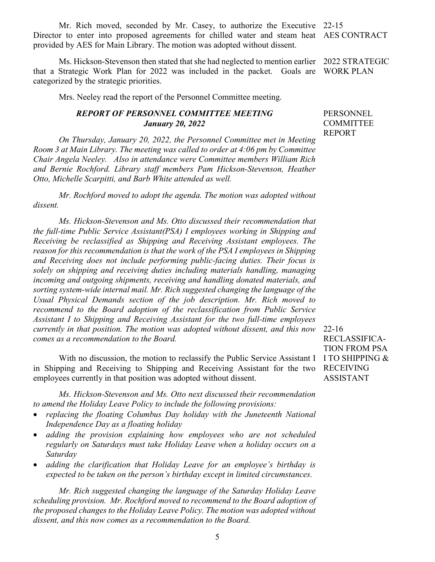5

Mr. Rich moved, seconded by Mr. Casey, to authorize the Executive 22-15 Director to enter into proposed agreements for chilled water and steam heat AES CONTRACT provided by AES for Main Library. The motion was adopted without dissent.

Ms. Hickson-Stevenson then stated that she had neglected to mention earlier 2022 STRATEGIC that a Strategic Work Plan for 2022 was included in the packet. Goals are WORK PLAN categorized by the strategic priorities.

Mrs. Neeley read the report of the Personnel Committee meeting.

## *REPORT OF PERSONNEL COMMITTEE MEETING January 20, 2022*

*On Thursday, January 20, 2022, the Personnel Committee met in Meeting Room 3 at Main Library. The meeting was called to order at 4:06 pm by Committee Chair Angela Neeley. Also in attendance were Committee members William Rich and Bernie Rochford. Library staff members Pam Hickson-Stevenson, Heather Otto, Michelle Scarpitti, and Barb White attended as well.*

*Mr. Rochford moved to adopt the agenda. The motion was adopted without dissent.*

*Ms. Hickson-Stevenson and Ms. Otto discussed their recommendation that the full-time Public Service Assistant(PSA) I employees working in Shipping and Receiving be reclassified as Shipping and Receiving Assistant employees. The reason for this recommendation is that the work of the PSA I employees in Shipping and Receiving does not include performing public-facing duties. Their focus is solely on shipping and receiving duties including materials handling, managing incoming and outgoing shipments, receiving and handling donated materials, and sorting system-wide internal mail. Mr. Rich suggested changing the language of the Usual Physical Demands section of the job description. Mr. Rich moved to recommend to the Board adoption of the reclassification from Public Service Assistant I to Shipping and Receiving Assistant for the two full-time employees currently in that position. The motion was adopted without dissent, and this now comes as a recommendation to the Board.*

With no discussion, the motion to reclassify the Public Service Assistant I I TO SHIPPING  $\&$ in Shipping and Receiving to Shipping and Receiving Assistant for the two employees currently in that position was adopted without dissent.

*Ms. Hickson-Stevenson and Ms. Otto next discussed their recommendation to amend the Holiday Leave Policy to include the following provisions:* 

- *replacing the floating Columbus Day holiday with the Juneteenth National Independence Day as a floating holiday*
- *adding the provision explaining how employees who are not scheduled regularly on Saturdays must take Holiday Leave when a holiday occurs on a Saturday*
- *adding the clarification that Holiday Leave for an employee's birthday is expected to be taken on the person's birthday except in limited circumstances.*

*Mr. Rich suggested changing the language of the Saturday Holiday Leave scheduling provision. Mr. Rochford moved to recommend to the Board adoption of the proposed changes to the Holiday Leave Policy. The motion was adopted without dissent, and this now comes as a recommendation to the Board.*

PERSONNEL **COMMITTEE** REPORT

22-16 RECLASSIFICA-TION FROM PSA RECEIVING ASSISTANT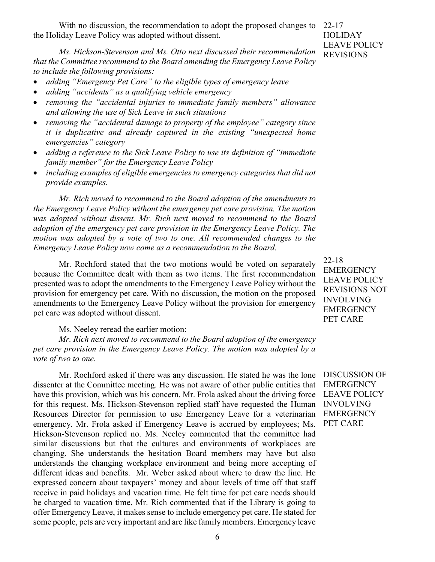With no discussion, the recommendation to adopt the proposed changes to 22-17 the Holiday Leave Policy was adopted without dissent.

*Ms. Hickson-Stevenson and Ms. Otto next discussed their recommendation that the Committee recommend to the Board amending the Emergency Leave Policy to include the following provisions:* 

- *adding "Emergency Pet Care" to the eligible types of emergency leave*
- *adding "accidents" as a qualifying vehicle emergency*
- *removing the "accidental injuries to immediate family members" allowance and allowing the use of Sick Leave in such situations*
- *removing the "accidental damage to property of the employee" category since it is duplicative and already captured in the existing "unexpected home emergencies" category*
- *adding a reference to the Sick Leave Policy to use its definition of "immediate family member" for the Emergency Leave Policy*
- *including examples of eligible emergencies to emergency categories that did not provide examples.*

*Mr. Rich moved to recommend to the Board adoption of the amendments to the Emergency Leave Policy without the emergency pet care provision. The motion was adopted without dissent. Mr. Rich next moved to recommend to the Board adoption of the emergency pet care provision in the Emergency Leave Policy. The motion was adopted by a vote of two to one. All recommended changes to the Emergency Leave Policy now come as a recommendation to the Board.*

Mr. Rochford stated that the two motions would be voted on separately because the Committee dealt with them as two items. The first recommendation presented was to adopt the amendments to the Emergency Leave Policy without the provision for emergency pet care. With no discussion, the motion on the proposed amendments to the Emergency Leave Policy without the provision for emergency pet care was adopted without dissent.

Ms. Neeley reread the earlier motion:

*Mr. Rich next moved to recommend to the Board adoption of the emergency pet care provision in the Emergency Leave Policy. The motion was adopted by a vote of two to one.*

Mr. Rochford asked if there was any discussion. He stated he was the lone dissenter at the Committee meeting. He was not aware of other public entities that have this provision, which was his concern. Mr. Frola asked about the driving force for this request. Ms. Hickson-Stevenson replied staff have requested the Human Resources Director for permission to use Emergency Leave for a veterinarian emergency. Mr. Frola asked if Emergency Leave is accrued by employees; Ms. Hickson-Stevenson replied no. Ms. Neeley commented that the committee had similar discussions but that the cultures and environments of workplaces are changing. She understands the hesitation Board members may have but also understands the changing workplace environment and being more accepting of different ideas and benefits. Mr. Weber asked about where to draw the line. He expressed concern about taxpayers' money and about levels of time off that staff receive in paid holidays and vacation time. He felt time for pet care needs should be charged to vacation time. Mr. Rich commented that if the Library is going to offer Emergency Leave, it makes sense to include emergency pet care. He stated for some people, pets are very important and are like family members. Emergency leave

22-18 **EMERGENCY** LEAVE POLICY REVISIONS NOT INVOLVING **EMERGENCY** PET CARE

DISCUSSION OF **EMERGENCY** LEAVE POLICY INVOLVING **EMERGENCY** PET CARE

**HOLIDAY** LEAVE POLICY REVISIONS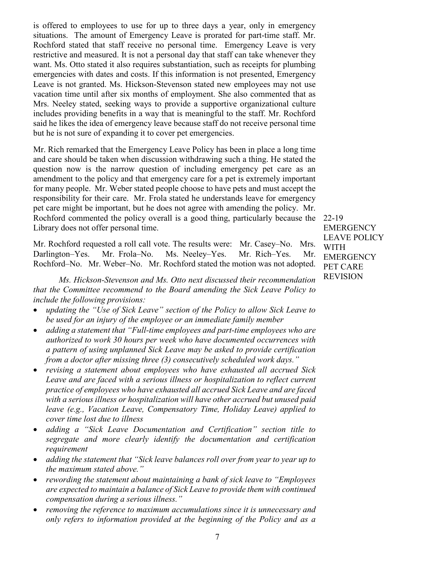is offered to employees to use for up to three days a year, only in emergency situations. The amount of Emergency Leave is prorated for part-time staff. Mr. Rochford stated that staff receive no personal time. Emergency Leave is very restrictive and measured. It is not a personal day that staff can take whenever they want. Ms. Otto stated it also requires substantiation, such as receipts for plumbing emergencies with dates and costs. If this information is not presented, Emergency Leave is not granted. Ms. Hickson-Stevenson stated new employees may not use vacation time until after six months of employment. She also commented that as Mrs. Neeley stated, seeking ways to provide a supportive organizational culture includes providing benefits in a way that is meaningful to the staff. Mr. Rochford said he likes the idea of emergency leave because staff do not receive personal time but he is not sure of expanding it to cover pet emergencies.

Mr. Rich remarked that the Emergency Leave Policy has been in place a long time and care should be taken when discussion withdrawing such a thing. He stated the question now is the narrow question of including emergency pet care as an amendment to the policy and that emergency care for a pet is extremely important for many people. Mr. Weber stated people choose to have pets and must accept the responsibility for their care. Mr. Frola stated he understands leave for emergency pet care might be important, but he does not agree with amending the policy. Mr. Rochford commented the policy overall is a good thing, particularly because the 22-19 Library does not offer personal time.

Mr. Rochford requested a roll call vote. The results were: Mr. Casey–No. Mrs. Darlington–Yes. Mr. Frola–No. Ms. Neeley–Yes. Mr. Rich–Yes. Mr. Rochford–No. Mr. Weber–No. Mr. Rochford stated the motion was not adopted.

*Ms. Hickson-Stevenson and Ms. Otto next discussed their recommendation that the Committee recommend to the Board amending the Sick Leave Policy to include the following provisions:* 

- *updating the "Use of Sick Leave" section of the Policy to allow Sick Leave to be used for an injury of the employee or an immediate family member*
- *adding a statement that "Full-time employees and part-time employees who are authorized to work 30 hours per week who have documented occurrences with a pattern of using unplanned Sick Leave may be asked to provide certification from a doctor after missing three (3) consecutively scheduled work days."*
- *revising a statement about employees who have exhausted all accrued Sick*  Leave and are faced with a serious illness or hospitalization to reflect current *practice of employees who have exhausted all accrued Sick Leave and are faced with a serious illness or hospitalization will have other accrued but unused paid leave (e.g., Vacation Leave, Compensatory Time, Holiday Leave) applied to cover time lost due to illness*
- *adding a "Sick Leave Documentation and Certification" section title to segregate and more clearly identify the documentation and certification requirement*
- *adding the statement that "Sick leave balances roll over from year to year up to the maximum stated above."*
- *rewording the statement about maintaining a bank of sick leave to "Employees are expected to maintain a balance of Sick Leave to provide them with continued compensation during a serious illness."*
- *removing the reference to maximum accumulations since it is unnecessary and only refers to information provided at the beginning of the Policy and as a*

**EMERGENCY** LEAVE POLICY WITH **EMERGENCY** PET CARE REVISION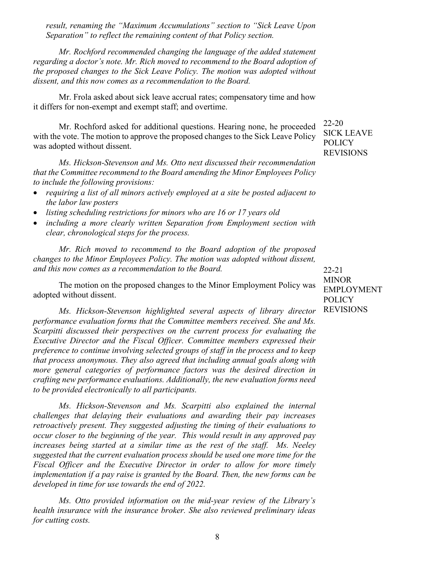*result, renaming the "Maximum Accumulations" section to "Sick Leave Upon Separation" to reflect the remaining content of that Policy section.*

*Mr. Rochford recommended changing the language of the added statement regarding a doctor's note. Mr. Rich moved to recommend to the Board adoption of the proposed changes to the Sick Leave Policy. The motion was adopted without dissent, and this now comes as a recommendation to the Board.*

Mr. Frola asked about sick leave accrual rates; compensatory time and how it differs for non-exempt and exempt staff; and overtime.

Mr. Rochford asked for additional questions. Hearing none, he proceeded with the vote. The motion to approve the proposed changes to the Sick Leave Policy was adopted without dissent.

*Ms. Hickson-Stevenson and Ms. Otto next discussed their recommendation that the Committee recommend to the Board amending the Minor Employees Policy to include the following provisions:*

- *requiring a list of all minors actively employed at a site be posted adjacent to the labor law posters*
- *listing scheduling restrictions for minors who are 16 or 17 years old*
- *including a more clearly written Separation from Employment section with clear, chronological steps for the process.*

*Mr. Rich moved to recommend to the Board adoption of the proposed changes to the Minor Employees Policy. The motion was adopted without dissent, and this now comes as a recommendation to the Board.*

The motion on the proposed changes to the Minor Employment Policy was adopted without dissent.

*Ms. Hickson-Stevenson highlighted several aspects of library director performance evaluation forms that the Committee members received. She and Ms. Scarpitti discussed their perspectives on the current process for evaluating the Executive Director and the Fiscal Officer. Committee members expressed their preference to continue involving selected groups of staff in the process and to keep that process anonymous. They also agreed that including annual goals along with more general categories of performance factors was the desired direction in crafting new performance evaluations. Additionally, the new evaluation forms need to be provided electronically to all participants.* 

*Ms. Hickson-Stevenson and Ms. Scarpitti also explained the internal challenges that delaying their evaluations and awarding their pay increases retroactively present. They suggested adjusting the timing of their evaluations to occur closer to the beginning of the year. This would result in any approved pay increases being started at a similar time as the rest of the staff. Ms. Neeley suggested that the current evaluation process should be used one more time for the Fiscal Officer and the Executive Director in order to allow for more timely implementation if a pay raise is granted by the Board. Then, the new forms can be developed in time for use towards the end of 2022.*

*Ms. Otto provided information on the mid-year review of the Library's health insurance with the insurance broker. She also reviewed preliminary ideas for cutting costs.*

22-20 SICK LEAVE POLICY REVISIONS

22-21 MINOR EMPLOYMENT POLICY REVISIONS